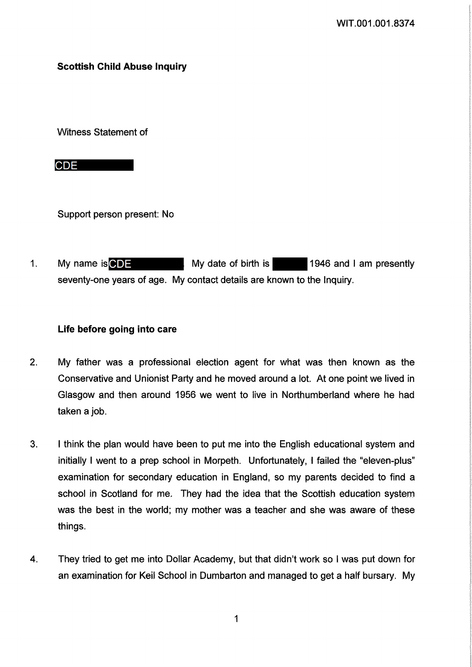# **Scottish Child Abuse Inquiry**

Witness Statement of

**CDE** 

Support person present: No

 $1.$ My name is  $\bigcirc$   $\bigcirc$   $\bigcirc$   $\bigcirc$   $\bigcirc$   $\bigcirc$  My date of birth is  $\bigcirc$  1946 and 1 am presently seventy-one years of age. My contact details are known to the Inquiry.

# Life before going into care

- $2.$ My father was a professional election agent for what was then known as the Conservative and Unionist Party and he moved around a lot. At one point we lived in Glasgow and then around 1956 we went to live in Northumberland where he had taken a job.
- 3. I think the plan would have been to put me into the English educational system and initially I went to a prep school in Morpeth. Unfortunately, I failed the "eleven-plus" examination for secondary education in England, so my parents decided to find a school in Scotland for me. They had the idea that the Scottish education system was the best in the world; my mother was a teacher and she was aware of these things.
- 4. They tried to get me into Dollar Academy, but that didn't work so I was put down for an examination for Keil School in Dumbarton and managed to get a half bursary. My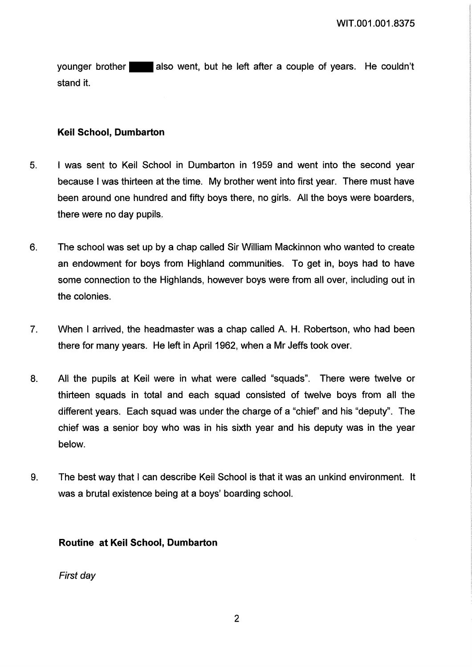vounger brother also went, but he left after a couple of years. He couldn't stand it.

## **Keil School, Dumbarton**

- 5. I was sent to Keil School in Dumbarton in 1959 and went into the second year because I was thirteen at the time. My brother went into first year. There must have been around one hundred and fifty boys there, no girls. All the boys were boarders, there were no day pupils.
- $6.$ The school was set up by a chap called Sir William Mackinnon who wanted to create an endowment for boys from Highland communities. To get in, boys had to have some connection to the Highlands, however boys were from all over, including out in the colonies.
- When I arrived, the headmaster was a chap called A. H. Robertson, who had been  $7<sub>1</sub>$ there for many years. He left in April 1962, when a Mr Jeffs took over.
- All the pupils at Keil were in what were called "squads". There were twelve or 8. thirteen squads in total and each squad consisted of twelve boys from all the different years. Each squad was under the charge of a "chief" and his "deputy". The chief was a senior boy who was in his sixth year and his deputy was in the year below.
- The best way that I can describe Keil School is that it was an unkind environment. It 9. was a brutal existence being at a boys' boarding school.

## Routine at Keil School, Dumbarton

First day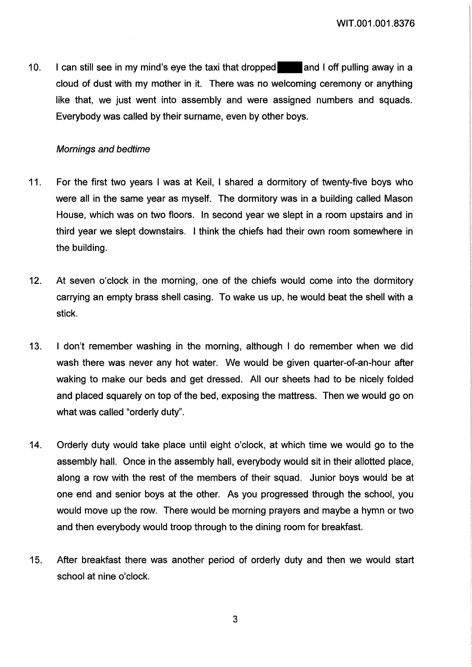$10.$ I can still see in my mind's eye the taxi that dropped and I off pulling away in a cloud of dust with my mother in it. There was no welcoming ceremony or anything like that, we just went into assembly and were assigned numbers and squads. Everybody was called by their surname, even by other boys.

## **Mornings and bedtime**

- $11.$ For the first two years I was at Keil, I shared a dormitory of twenty-five boys who were all in the same year as myself. The dormitory was in a building called Mason House, which was on two floors. In second year we slept in a room upstairs and in third vear we slept downstairs. I think the chiefs had their own room somewhere in the building.
- At seven o'clock in the morning, one of the chiefs would come into the dormitory  $12.$ carrying an empty brass shell casing. To wake us up, he would beat the shell with a stick.
- $13.$ I don't remember washing in the morning, although I do remember when we did wash there was never any hot water. We would be given quarter-of-an-hour after waking to make our beds and get dressed. All our sheets had to be nicely folded and placed squarely on top of the bed, exposing the mattress. Then we would go on what was called "orderly duty".
- $14.$ Orderly duty would take place until eight o'clock, at which time we would go to the assembly hall. Once in the assembly hall, everybody would sit in their allotted place, along a row with the rest of the members of their squad. Junior boys would be at one end and senior boys at the other. As you progressed through the school, you would move up the row. There would be morning prayers and maybe a hymn or two and then everybody would troop through to the dining room for breakfast.
- After breakfast there was another period of orderly duty and then we would start  $15.$ school at nine o'clock.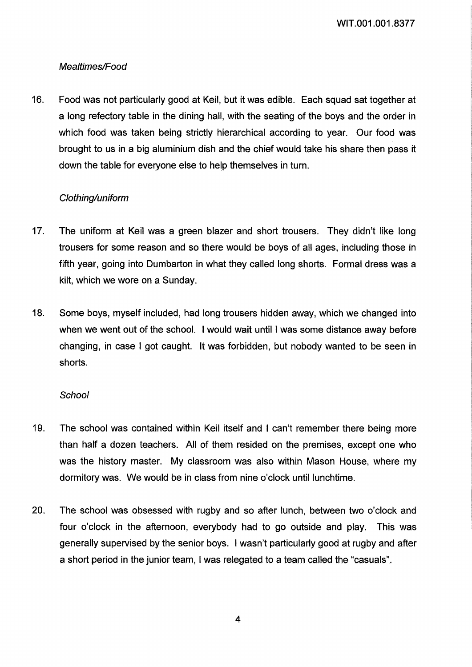WIT.001.001.8377

# Mealtimes/Food

16. Food was not particularly good at Keil, but it was edible. Each squad sat together at a long refectory table in the dining hall, with the seating of the boys and the order in which food was taken being strictly hierarchical according to year. Our food was brought to us in a big aluminium dish and the chief would take his share then pass it down the table for everyone else to help themselves in turn.

# Clothing/uniform

- 17. The uniform at Keil was a green blazer and short trousers. They didn't like long trousers for some reason and so there would be boys of all ages, including those in fifth year, going into Dumbarton in what they called long shorts. Formal dress was a kilt, which we wore on a Sunday.
- 18. Some boys, myself included, had long trousers hidden away, which we changed into when we went out of the school. I would wait until I was some distance away before changing, in case I got caught. It was forbidden, but nobody wanted to be seen in shorts.

## **School**

- 19. The school was contained within Keil itself and I can't remember there being more than half a dozen teachers. All of them resided on the premises, except one who was the history master. My classroom was also within Mason House, where my dormitory was. We would be in class from nine o'clock until lunchtime.
- 20. The school was obsessed with rugby and so after lunch, between two o'clock and four o'clock in the afternoon, everybody had to go outside and play. This was generally supervised by the senior boys. I wasn't particularly good at rugby and after a short period in the junior team, I was relegated to a team called the "casuals".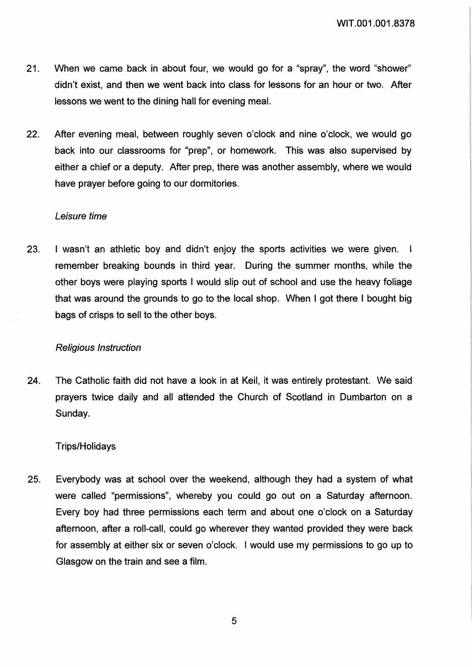- 21. When we came back in about four, we would go for a "spray", the word "shower" didn't exist, and then we went back into class for lessons for an hour or two. After lessons we went to the dining hall for evening meal.
- 22. After evening meal, between roughly seven o'clock and nine o'clock, we would go back into our classrooms for "prep", or homework. This was also supervised by either a chief or a deputy. After prep, there was another assembly, where we would have prayer before going to our dormitories.

#### Leisure time

23. I wasn't an athletic boy and didn't enjoy the sports activities we were given. I remember breaking bounds in third year. During the summer months, while the other boys were playing sports I would slip out of school and use the heavy foliage that was around the grounds to go to the local shop. When I got there I bought big bags of crisps to sell to the other boys.

### Religious Instruction

24. The Catholic faith did not have a look in at Keil, it was entirely protestant. We said prayers twice daily and all attended the Church of Scotland in Dumbarton on a Sunday.

#### Trips/Holidays

25. Everybody was at school over the weekend, although they had a system of what were called "permissions", whereby you could go out on a Saturday afternoon. Every boy had three permissions each term and about one o'clock on a Saturday afternoon, after a roll-call, could go wherever they wanted provided they were back for assembly at either six or seven o'clock. I would use my permissions to go up to Glasgow on the train and see a film.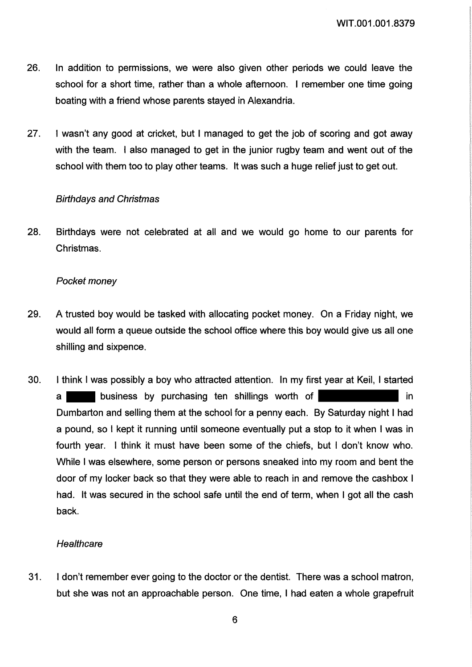- 26. In addition to permissions, we were also given other periods we could leave the school for a short time, rather than a whole afternoon. I remember one time going boating with a friend whose parents stayed in Alexandria.
- 27. I wasn't any good at cricket, but I managed to get the job of scoring and got away with the team. I also managed to get in the junior rugby team and went out of the school with them too to play other teams. It was such a huge relief just to get out.

### **Birthdays and Christmas**

28. Birthdays were not celebrated at all and we would go home to our parents for Christmas.

### Pocket money

- 29. A trusted boy would be tasked with allocating pocket money. On a Friday night, we would all form a queue outside the school office where this boy would give us all one shilling and sixpence.
- 30. I think I was possibly a boy who attracted attention. In my first year at Keil, I started business by purchasing ten shillings worth of in  $a<sub>l</sub>$ Dumbarton and selling them at the school for a penny each. By Saturday night I had a pound, so I kept it running until someone eventually put a stop to it when I was in fourth year. I think it must have been some of the chiefs, but I don't know who. While I was elsewhere, some person or persons sneaked into my room and bent the door of my locker back so that they were able to reach in and remove the cashbox I had. It was secured in the school safe until the end of term, when I got all the cash back.

### Healthcare

31. I don't remember ever going to the doctor or the dentist. There was a school matron, but she was not an approachable person. One time, I had eaten a whole grapefruit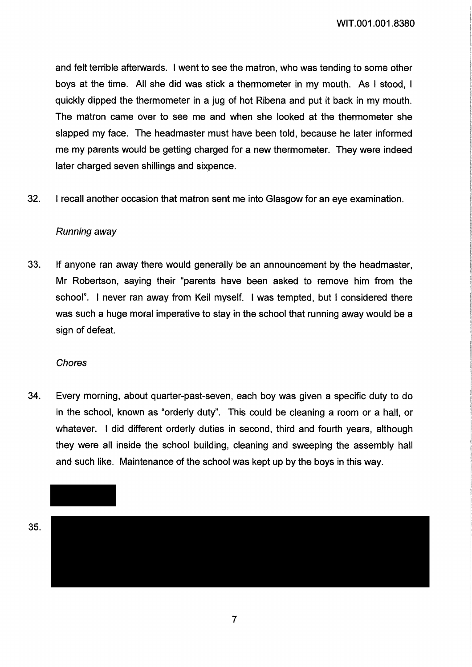WIT.001.001.8380

and felt terrible afterwards. I went to see the matron, who was tending to some other boys at the time. All she did was stick a thermometer in my mouth. As I stood, I quickly dipped the thermometer in a jug of hot Ribena and put it back in my mouth. The matron came over to see me and when she looked at the thermometer she slapped my face. The headmaster must have been told, because he later informed me my parents would be getting charged for a new thermometer. They were indeed later charged seven shillings and sixpence.

32. I recall another occasion that matron sent me into Glasgow for an eye examination.

## Running away

33. If anyone ran away there would generally be an announcement by the headmaster. Mr Robertson, saying their "parents have been asked to remove him from the school". I never ran away from Keil myself. I was tempted, but I considered there was such a huge moral imperative to stay in the school that running away would be a sign of defeat.

### Chores

34. Every morning, about quarter-past-seven, each boy was given a specific duty to do in the school, known as "orderly duty". This could be cleaning a room or a hall, or whatever. I did different orderly duties in second, third and fourth years, although they were all inside the school building, cleaning and sweeping the assembly hall and such like. Maintenance of the school was kept up by the boys in this way.

35.

 $\overline{7}$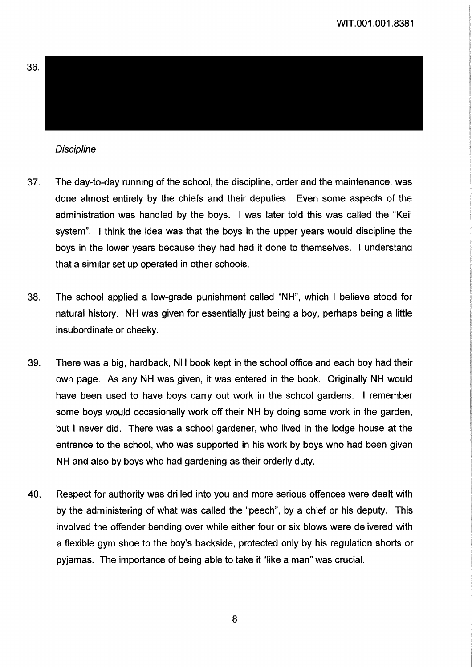

## **Discipline**

- 37. The day-to-day running of the school, the discipline, order and the maintenance, was done almost entirely by the chiefs and their deputies. Even some aspects of the administration was handled by the boys. I was later told this was called the "Keil system". I think the idea was that the boys in the upper years would discipline the boys in the lower years because they had had it done to themselves. I understand that a similar set up operated in other schools.
- 38. The school applied a low-grade punishment called "NH", which I believe stood for natural history. NH was given for essentially just being a boy, perhaps being a little insubordinate or cheeky.
- 39. There was a big, hardback, NH book kept in the school office and each boy had their own page. As any NH was given, it was entered in the book. Originally NH would have been used to have boys carry out work in the school gardens. I remember some boys would occasionally work off their NH by doing some work in the garden, but I never did. There was a school gardener, who lived in the lodge house at the entrance to the school, who was supported in his work by boys who had been given NH and also by boys who had gardening as their orderly duty.
- Respect for authority was drilled into you and more serious offences were dealt with 40. by the administering of what was called the "peech", by a chief or his deputy. This involved the offender bending over while either four or six blows were delivered with a flexible gym shoe to the boy's backside, protected only by his regulation shorts or pyjamas. The importance of being able to take it "like a man" was crucial.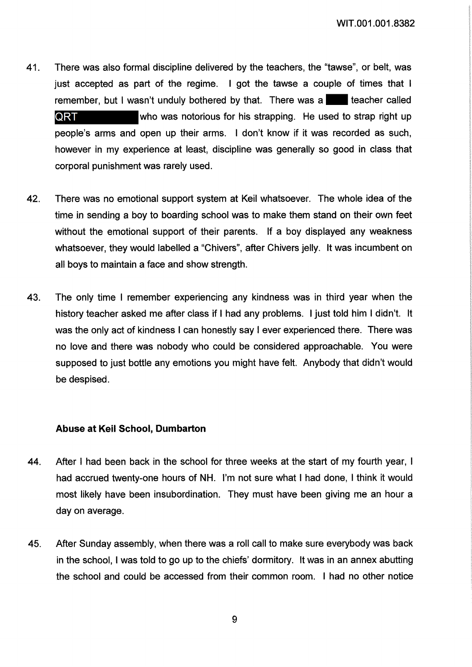- There was also formal discipline delivered by the teachers, the "tawse", or belt, was 41. just accepted as part of the regime. I got the tawse a couple of times that I remember, but I wasn't unduly bothered by that. There was a QRT who was notorious for his strapping. He used to strap right up people's arms and open up their arms. I don't know if it was recorded as such, however in my experience at least, discipline was generally so good in class that corporal punishment was rarely used.
- 42. There was no emotional support system at Keil whatsoever. The whole idea of the time in sending a boy to boarding school was to make them stand on their own feet without the emotional support of their parents. If a boy displayed any weakness whatsoever, they would labelled a "Chivers", after Chivers jelly. It was incumbent on all boys to maintain a face and show strength.
- 43. The only time I remember experiencing any kindness was in third year when the history teacher asked me after class if I had any problems. I just told him I didn't. It was the only act of kindness I can honestly say I ever experienced there. There was no love and there was nobody who could be considered approachable. You were supposed to just bottle any emotions you might have felt. Anybody that didn't would be despised.

### Abuse at Keil School, Dumbarton

- 44. After I had been back in the school for three weeks at the start of my fourth year, I had accrued twenty-one hours of NH. I'm not sure what I had done, I think it would most likely have been insubordination. They must have been giving me an hour a day on average.
- After Sunday assembly, when there was a roll call to make sure everybody was back 45. in the school. I was told to go up to the chiefs' dormitory. It was in an annex abutting the school and could be accessed from their common room. I had no other notice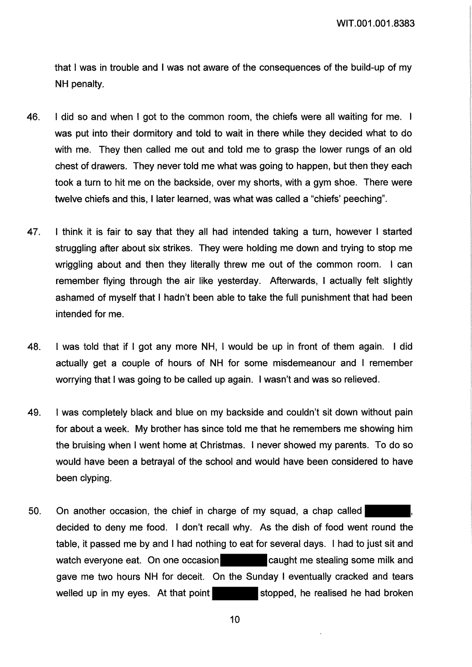that I was in trouble and I was not aware of the consequences of the build-up of my NH penalty.

- 46. I did so and when I got to the common room, the chiefs were all waiting for me. I was put into their dormitory and told to wait in there while they decided what to do with me. They then called me out and told me to grasp the lower rungs of an old chest of drawers. They never told me what was going to happen, but then they each took a turn to hit me on the backside, over my shorts, with a gym shoe. There were twelve chiefs and this, I later learned, was what was called a "chiefs' peeching".
- I think it is fair to say that they all had intended taking a turn, however I started 47. struggling after about six strikes. They were holding me down and trying to stop me wriggling about and then they literally threw me out of the common room. I can remember flying through the air like yesterday. Afterwards, I actually felt slightly ashamed of myself that I hadn't been able to take the full punishment that had been intended for me.
- 48. I was told that if I got any more NH, I would be up in front of them again. I did actually get a couple of hours of NH for some misdemeanour and I remember worrying that I was going to be called up again. I wasn't and was so relieved.
- 49. I was completely black and blue on my backside and couldn't sit down without pain for about a week. My brother has since told me that he remembers me showing him the bruising when I went home at Christmas. I never showed my parents. To do so would have been a betrayal of the school and would have been considered to have been clyping.
- On another occasion, the chief in charge of my squad, a chap called 50. decided to deny me food. I don't recall why. As the dish of food went round the table, it passed me by and I had nothing to eat for several days. I had to just sit and watch everyone eat. On one occasion **and caught me stealing some milk and** gave me two hours NH for deceit. On the Sunday I eventually cracked and tears welled up in my eyes. At that point stopped, he realised he had broken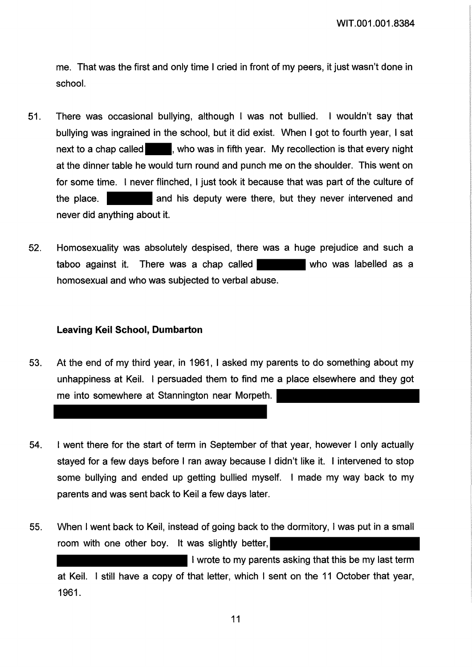me. That was the first and only time I cried in front of my peers, it just wasn't done in school.

- $51.$ There was occasional bullying, although I was not bullied. I wouldn't say that bullying was ingrained in the school, but it did exist. When I got to fourth year, I sat next to a chap called **the study who was in fifth year.** My recollection is that every night at the dinner table he would turn round and punch me on the shoulder. This went on for some time. I never flinched, I just took it because that was part of the culture of and his deputy were there, but they never intervened and the place. never did anything about it.
- 52. Homosexuality was absolutely despised, there was a huge prejudice and such a taboo against it. There was a chap called who was labelled as a homosexual and who was subjected to verbal abuse.

## **Leaving Keil School, Dumbarton**

- 53. At the end of my third year, in 1961, I asked my parents to do something about my unhappiness at Keil. I persuaded them to find me a place elsewhere and they got me into somewhere at Stannington near Morpeth.
- I went there for the start of term in September of that year, however I only actually 54. stayed for a few days before I ran away because I didn't like it. I intervened to stop some bullying and ended up getting bullied myself. I made my way back to my parents and was sent back to Keil a few days later.
- When I went back to Keil, instead of going back to the dormitory, I was put in a small 55. room with one other boy. It was slightly better,

I wrote to my parents asking that this be my last term at Keil. I still have a copy of that letter, which I sent on the 11 October that year, 1961.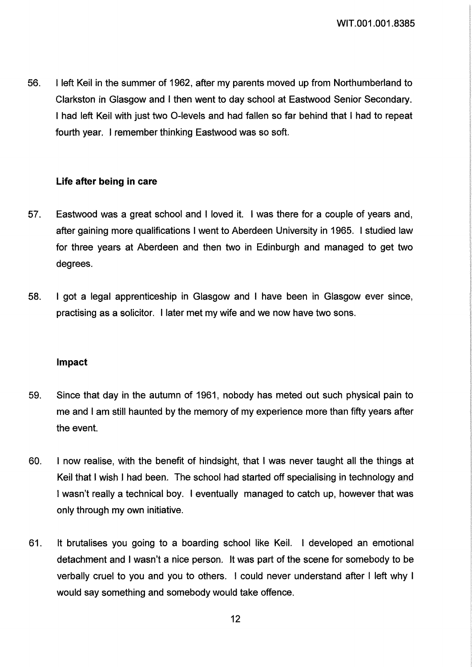56. I left Keil in the summer of 1962, after my parents moved up from Northumberland to Clarkston in Glasgow and I then went to day school at Eastwood Senior Secondary. I had left Keil with just two 0-levels and had fallen so far behind that I had to repeat fourth year. I remember thinking Eastwood was so soft.

## Life after being in care

- 57. Eastwood was a great school and I loved it. I was there for a couple of years and, after gaining more qualifications I went to Aberdeen University in 1965. I studied law for three years at Aberdeen and then two in Edinburgh and managed to get two degrees.
- 58. I got a legal apprenticeship in Glasgow and I have been in Glasgow ever since, practising as a solicitor. I later met my wife and we now have two sons.

## Impact

- 59. Since that day in the autumn of 1961, nobody has meted out such physical pain to me and I am still haunted by the memory of my experience more than fifty years after the event.
- 60. I now realise, with the benefit of hindsight, that I was never taught all the things at Keil that I wish I had been. The school had started off specialising in technology and I wasn't really a technical boy. I eventually managed to catch up, however that was only through my own initiative.
- 61. It brutalises you going to a boarding school like Keil. I developed an emotional detachment and I wasn't a nice person. It was part of the scene for somebody to be verbally cruel to you and you to others. I could never understand after I left why I would say something and somebody would take offence.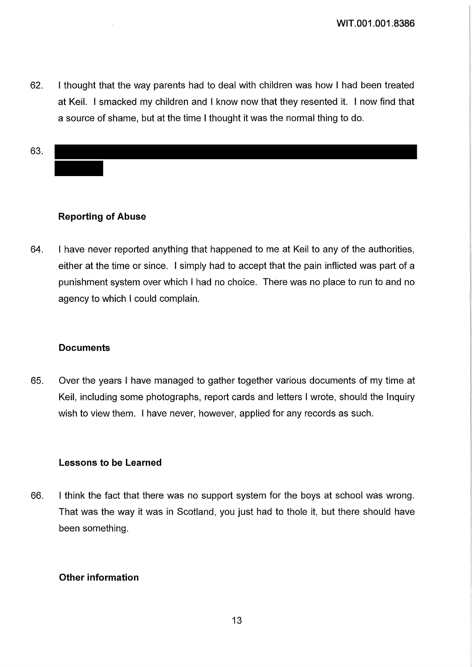62. I thought that the way parents had to deal with children was how I had been treated at Keil. I smacked my children and I know now that they resented it. I now find that a source of shame, but at the time I thought it was the normal thing to do.

63.

## **Reporting of Abuse**

64. I have never reported anything that happened to me at Keil to any of the authorities, either at the time or since. I simply had to accept that the pain inflicted was part of a punishment system over which I had no choice. There was no place to run to and no agency to which I could complain.

### **Documents**

65. Over the years I have managed to gather together various documents of my time at Keil, including some photographs, report cards and letters I wrote, should the Inquiry wish to view them. I have never, however, applied for any records as such.

#### **Lessons to be Learned**

I think the fact that there was no support system for the boys at school was wrong. 66. That was the way it was in Scotland, you just had to thole it, but there should have been something.

## **Other information**